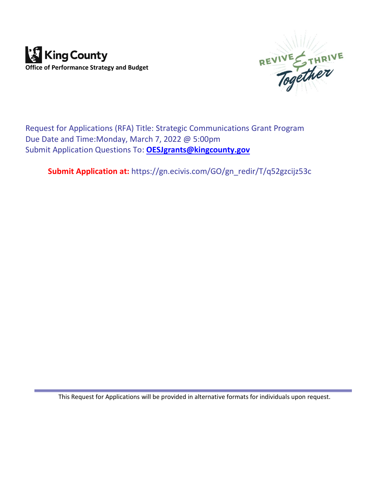



Request for Applications (RFA) Title: Strategic Communications Grant Program Due Date and Time:Monday, March 7, 2022 @ 5:00pm Submit Application Questions To: **[OESJgrants@kingcounty.gov](mailto:OESJgrants@kingcounty.gov)**

**Submit Application at:** https://gn.ecivis.com/GO/gn\_redir/T/q52gzcijz53c

This Request for Applications will be provided in alternative formats for individuals upon request.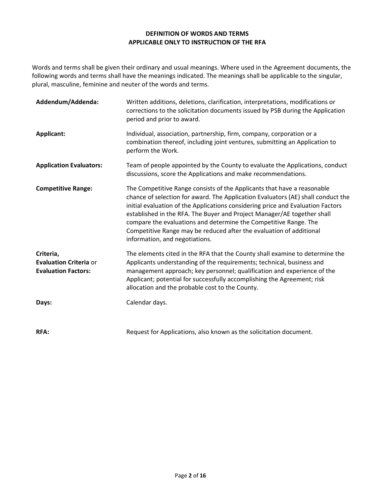#### **DEFINITION OF WORDS AND TERMS APPLICABLE ONLY TO INSTRUCTION OF THE RFA**

Words and terms shall be given their ordinary and usual meanings. Where used in the Agreement documents, the following words and terms shall have the meanings indicated. The meanings shall be applicable to the singular, plural, masculine, feminine and neuter of the words and terms.

| Addendum/Addenda:                                                        | Written additions, deletions, clarification, interpretations, modifications or<br>corrections to the solicitation documents issued by PSB during the Application<br>period and prior to award.                                                                                                                                                                                                                                                                                                         |
|--------------------------------------------------------------------------|--------------------------------------------------------------------------------------------------------------------------------------------------------------------------------------------------------------------------------------------------------------------------------------------------------------------------------------------------------------------------------------------------------------------------------------------------------------------------------------------------------|
| Applicant:                                                               | Individual, association, partnership, firm, company, corporation or a<br>combination thereof, including joint ventures, submitting an Application to<br>perform the Work.                                                                                                                                                                                                                                                                                                                              |
| <b>Application Evaluators:</b>                                           | Team of people appointed by the County to evaluate the Applications, conduct<br>discussions, score the Applications and make recommendations.                                                                                                                                                                                                                                                                                                                                                          |
| <b>Competitive Range:</b>                                                | The Competitive Range consists of the Applicants that have a reasonable<br>chance of selection for award. The Application Evaluators (AE) shall conduct the<br>initial evaluation of the Applications considering price and Evaluation Factors<br>established in the RFA. The Buyer and Project Manager/AE together shall<br>compare the evaluations and determine the Competitive Range. The<br>Competitive Range may be reduced after the evaluation of additional<br>information, and negotiations. |
| Criteria,<br><b>Evaluation Criteria or</b><br><b>Evaluation Factors:</b> | The elements cited in the RFA that the County shall examine to determine the<br>Applicants understanding of the requirements; technical, business and<br>management approach; key personnel; qualification and experience of the<br>Applicant; potential for successfully accomplishing the Agreement; risk<br>allocation and the probable cost to the County.                                                                                                                                         |
| Days:                                                                    | Calendar days.                                                                                                                                                                                                                                                                                                                                                                                                                                                                                         |
| <b>RFA:</b>                                                              | Request for Applications, also known as the solicitation document.                                                                                                                                                                                                                                                                                                                                                                                                                                     |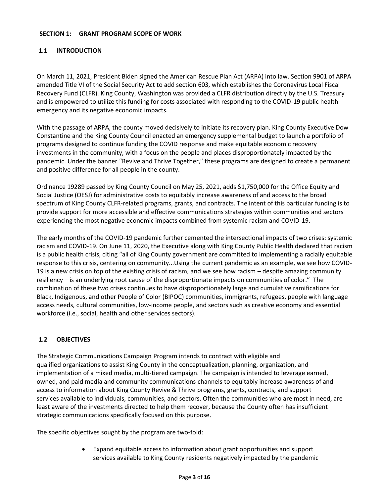#### **SECTION 1: GRANT PROGRAM SCOPE OF WORK**

# **1.1 INTRODUCTION**

On March 11, 2021, President Biden signed the American Rescue Plan Act (ARPA) into law. Section 9901 of ARPA amended Title VI of the Social Security Act to add section 603, which establishes the Coronavirus Local Fiscal Recovery Fund (CLFR). King County, Washington was provided a CLFR distribution directly by the U.S. Treasury and is empowered to utilize this funding for costs associated with responding to the COVID-19 public health emergency and its negative economic impacts.

With the passage of ARPA, the county moved decisively to initiate its recovery plan. King County Executive Dow Constantine and the King County Council enacted an emergency supplemental budget to launch a portfolio of programs designed to continue funding the COVID response and make equitable economic recovery investments in the community, with a focus on the people and places disproportionately impacted by the pandemic. Under the banner "Revive and Thrive Together," these programs are designed to create a permanent and positive difference for all people in the county.

Ordinance 19289 passed by King County Council on May 25, 2021, adds \$1,750,000 for the Office Equity and Social Justice (OESJ) for administrative costs to equitably increase awareness of and access to the broad spectrum of King County CLFR-related programs, grants, and contracts. The intent of this particular funding is to provide support for more accessible and effective communications strategies within communities and sectors experiencing the most negative economic impacts combined from systemic racism and COVID-19.

The early months of the COVID-19 pandemic further cemented the intersectional impacts of two crises: systemic racism and COVID-19. On June 11, 2020, the Executive along with King County Public Health declared that racism is a public health crisis, citing "all of King County government are committed to implementing a racially equitable response to this crisis, centering on community...Using the current pandemic as an example, we see how COVID-19 is a new crisis on top of the existing crisis of racism, and we see how racism – despite amazing community resiliency – is an underlying root cause of the disproportionate impacts on communities of color." The combination of these two crises continues to have disproportionately large and cumulative ramifications for Black, Indigenous, and other People of Color (BIPOC) communities, immigrants, refugees, people with language access needs, cultural communities, low-income people, and sectors such as creative economy and essential workforce (i.e., social, health and other services sectors).

#### **1.2 OBJECTIVES**

The Strategic Communications Campaign Program intends to contract with eligible and qualified organizations to assist King County in the conceptualization, planning, organization, and implementation of a mixed media, multi-tiered campaign. The campaign is intended to leverage earned, owned, and paid media and community communications channels to equitably increase awareness of and access to information about King County Revive & Thrive programs, grants, contracts, and support services available to individuals, communities, and sectors. Often the communities who are most in need, are least aware of the investments directed to help them recover, because the County often has insufficient strategic communications specifically focused on this purpose.

The specific objectives sought by the program are two-fold:

• Expand equitable access to information about grant opportunities and support services available to King County residents negatively impacted by the pandemic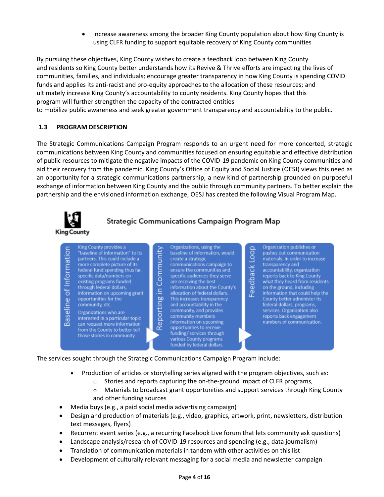• Increase awareness among the broader King County population about how King County is using CLFR funding to support equitable recovery of King County communities

By pursuing these objectives, King County wishes to create a feedback loop between King County and residents so King County better understands how its Revive & Thrive efforts are impacting the lives of communities, families, and individuals; encourage greater transparency in how King County is spending COVID funds and applies its anti-racist and pro-equity approaches to the allocation of these resources; and ultimately increase King County's accountability to county residents. King County hopes that this program will further strengthen the capacity of the contracted entities to mobilize public awareness and seek greater government transparency and accountability to the public.

# **1.3 PROGRAM DESCRIPTION**

The Strategic Communications Campaign Program responds to an urgent need for more concerted, strategic communications between King County and communities focused on ensuring equitable and effective distribution of public resources to mitigate the negative impacts of the COVID-19 pandemic on King County communities and aid their recovery from the pandemic. King County's Office of Equity and Social Justice (OESJ) views this need as an opportunity for a strategic communications partnership, a new kind of partnership grounded on purposeful exchange of information between King County and the public through community partners. To better explain the partnership and the envisioned information exchange, OESJ has created the following Visual Program Map.



# **Strategic Communications Campaign Program Map**



The services sought through the Strategic Communications Campaign Program include:

- Production of articles or storytelling series aligned with the program objectives, such as:
	- $\circ$  Stories and reports capturing the on-the-ground impact of CLFR programs,
	- o Materials to broadcast grant opportunities and support services through King County and other funding sources
- Media buys (e.g., a paid social media advertising campaign)
- Design and production of materials (e.g., video, graphics, artwork, print, newsletters, distribution text messages, flyers)
- Recurrent event series (e.g., a recurring Facebook Live forum that lets community ask questions)
- Landscape analysis/research of COVID-19 resources and spending (e.g., data journalism)
- Translation of communication materials in tandem with other activities on this list
- Development of culturally relevant messaging for a social media and newsletter campaign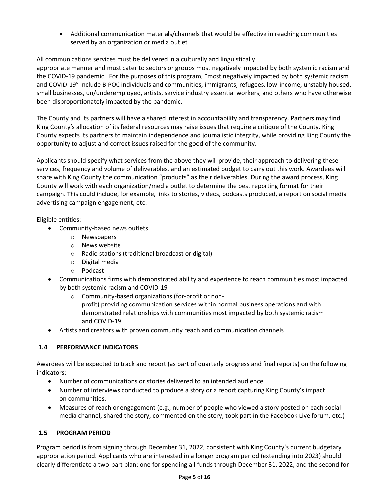• Additional communication materials/channels that would be effective in reaching communities served by an organization or media outlet

# All communications services must be delivered in a culturally and linguistically

appropriate manner and must cater to sectors or groups most negatively impacted by both systemic racism and the COVID-19 pandemic. For the purposes of this program, "most negatively impacted by both systemic racism and COVID-19" include BIPOC individuals and communities, immigrants, refugees, low-income, unstably housed, small businesses, un/underemployed, artists, service industry essential workers, and others who have otherwise been disproportionately impacted by the pandemic.

The County and its partners will have a shared interest in accountability and transparency. Partners may find King County's allocation of its federal resources may raise issues that require a critique of the County. King County expects its partners to maintain independence and journalistic integrity, while providing King County the opportunity to adjust and correct issues raised for the good of the community.

Applicants should specify what services from the above they will provide, their approach to delivering these services, frequency and volume of deliverables, and an estimated budget to carry out this work. Awardees will share with King County the communication "products" as their deliverables. During the award process, King County will work with each organization/media outlet to determine the best reporting format for their campaign. This could include, for example, links to stories, videos, podcasts produced, a report on social media advertising campaign engagement, etc.

# Eligible entities:

- Community-based news outlets
	- o Newspapers
	- o News website
	- o Radio stations (traditional broadcast or digital)
	- o Digital media
	- o Podcast
- Communications firms with demonstrated ability and experience to reach communities most impacted by both systemic racism and COVID-19
	- o Community-based organizations (for-profit or nonprofit) providing communication services within normal business operations and with demonstrated relationships with communities most impacted by both systemic racism and COVID-19
- Artists and creators with proven community reach and communication channels

# **1.4 PERFORMANCE INDICATORS**

Awardees will be expected to track and report (as part of quarterly progress and final reports) on the following indicators:

- Number of communications or stories delivered to an intended audience
- Number of interviews conducted to produce a story or a report capturing King County's impact on communities.
- Measures of reach or engagement (e.g., number of people who viewed a story posted on each social media channel, shared the story, commented on the story, took part in the Facebook Live forum, etc.)

# **1.5 PROGRAM PERIOD**

Program period is from signing through December 31, 2022, consistent with King County's current budgetary appropriation period. Applicants who are interested in a longer program period (extending into 2023) should clearly differentiate a two-part plan: one for spending all funds through December 31, 2022, and the second for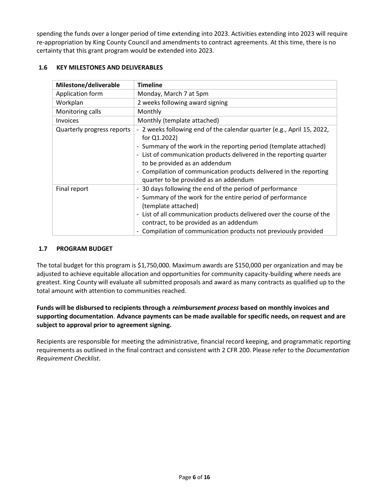spending the funds over a longer period of time extending into 2023. Activities extending into 2023 will require re-appropriation by King County Council and amendments to contract agreements. At this time, there is no certainty that this grant program would be extended into 2023.

#### **1.6 KEY MILESTONES AND DELIVERABLES**

| Milestone/deliverable      | <b>Timeline</b>                                                                                      |
|----------------------------|------------------------------------------------------------------------------------------------------|
| Application form           | Monday, March 7 at 5pm                                                                               |
| Workplan                   | 2 weeks following award signing                                                                      |
| Monitoring calls           | Monthly                                                                                              |
| <b>Invoices</b>            | Monthly (template attached)                                                                          |
| Quarterly progress reports | - 2 weeks following end of the calendar quarter (e.g., April 15, 2022,<br>for $Q1.2022$ )            |
|                            | - Summary of the work in the reporting period (template attached)                                    |
|                            | - List of communication products delivered in the reporting quarter<br>to be provided as an addendum |
|                            | - Compilation of communication products delivered in the reporting                                   |
|                            | quarter to be provided as an addendum                                                                |
| Final report               | - 30 days following the end of the period of performance                                             |
|                            | - Summary of the work for the entire period of performance                                           |
|                            | (template attached)                                                                                  |
|                            | - List of all communication products delivered over the course of the                                |
|                            | contract, to be provided as an addendum                                                              |
|                            | Compilation of communication products not previously provided                                        |

## **1.7 PROGRAM BUDGET**

The total budget for this program is \$1,750,000. Maximum awards are \$150,000 per organization and may be adjusted to achieve equitable allocation and opportunities for community capacity-building where needs are greatest. King County will evaluate all submitted proposals and award as many contracts as qualified up to the total amount with attention to communities reached.

# **Funds will be disbursed to recipients through a** *reimbursement process* **based on monthly invoices and supporting documentation**. **Advance payments can be made available for specific needs, on request and are subject to approval prior to agreement signing.**

Recipients are responsible for meeting the administrative, financial record keeping, and programmatic reporting requirements as outlined in the final contract and consistent with 2 CFR 200. Please refer to the *Documentation Requirement Checklist*.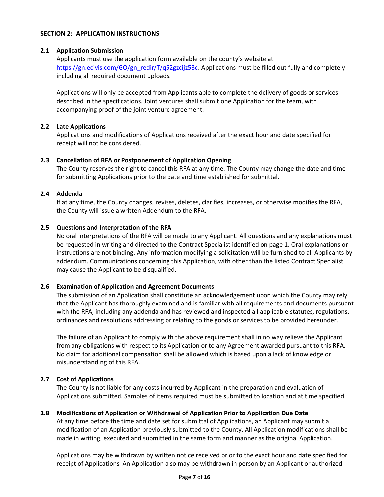#### **SECTION 2: APPLICATION INSTRUCTIONS**

## **2.1 Application Submission**

Applicants must use the application form available on the county's website at https://gn.ecivis.com/GO/gn\_redir/T/q52gzcijz53c</u>. Applications must be filled out fully and completely including all required document uploads.

Applications will only be accepted from Applicants able to complete the delivery of goods or services described in the specifications. Joint ventures shall submit one Application for the team, with accompanying proof of the joint venture agreement.

## **2.2 Late Applications**

Applications and modifications of Applications received after the exact hour and date specified for receipt will not be considered.

## **2.3 Cancellation of RFA or Postponement of Application Opening**

The County reserves the right to cancel this RFA at any time. The County may change the date and time for submitting Applications prior to the date and time established for submittal.

## **2.4 Addenda**

If at any time, the County changes, revises, deletes, clarifies, increases, or otherwise modifies the RFA, the County will issue a written Addendum to the RFA.

## **2.5 Questions and Interpretation of the RFA**

No oral interpretations of the RFA will be made to any Applicant. All questions and any explanations must be requested in writing and directed to the Contract Specialist identified on page 1. Oral explanations or instructions are not binding. Any information modifying a solicitation will be furnished to all Applicants by addendum. Communications concerning this Application, with other than the listed Contract Specialist may cause the Applicant to be disqualified.

#### **2.6 Examination of Application and Agreement Documents**

The submission of an Application shall constitute an acknowledgement upon which the County may rely that the Applicant has thoroughly examined and is familiar with all requirements and documents pursuant with the RFA, including any addenda and has reviewed and inspected all applicable statutes, regulations, ordinances and resolutions addressing or relating to the goods or services to be provided hereunder.

The failure of an Applicant to comply with the above requirement shall in no way relieve the Applicant from any obligations with respect to its Application or to any Agreement awarded pursuant to this RFA. No claim for additional compensation shall be allowed which is based upon a lack of knowledge or misunderstanding of this RFA.

#### **2.7 Cost of Applications**

The County is not liable for any costs incurred by Applicant in the preparation and evaluation of Applications submitted. Samples of items required must be submitted to location and at time specified.

#### **2.8 Modifications of Application or Withdrawal of Application Prior to Application Due Date**

At any time before the time and date set for submittal of Applications, an Applicant may submit a modification of an Application previously submitted to the County. All Application modifications shall be made in writing, executed and submitted in the same form and manner as the original Application.

Applications may be withdrawn by written notice received prior to the exact hour and date specified for receipt of Applications. An Application also may be withdrawn in person by an Applicant or authorized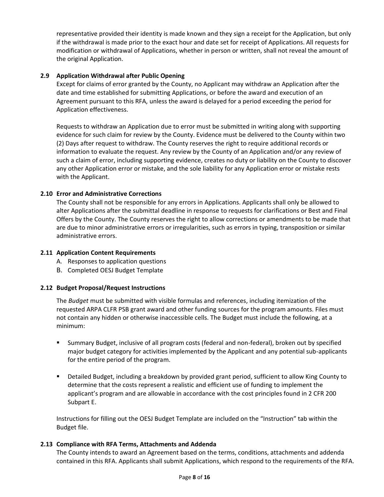representative provided their identity is made known and they sign a receipt for the Application, but only if the withdrawal is made prior to the exact hour and date set for receipt of Applications. All requests for modification or withdrawal of Applications, whether in person or written, shall not reveal the amount of the original Application.

## **2.9 Application Withdrawal after Public Opening**

Except for claims of error granted by the County, no Applicant may withdraw an Application after the date and time established for submitting Applications, or before the award and execution of an Agreement pursuant to this RFA, unless the award is delayed for a period exceeding the period for Application effectiveness.

Requests to withdraw an Application due to error must be submitted in writing along with supporting evidence for such claim for review by the County. Evidence must be delivered to the County within two (2) Days after request to withdraw. The County reserves the right to require additional records or information to evaluate the request. Any review by the County of an Application and/or any review of such a claim of error, including supporting evidence, creates no duty or liability on the County to discover any other Application error or mistake, and the sole liability for any Application error or mistake rests with the Applicant.

## **2.10 Error and Administrative Corrections**

The County shall not be responsible for any errors in Applications. Applicants shall only be allowed to alter Applications after the submittal deadline in response to requests for clarifications or Best and Final Offers by the County. The County reserves the right to allow corrections or amendments to be made that are due to minor administrative errors or irregularities, such as errors in typing, transposition or similar administrative errors.

#### **2.11 Application Content Requirements**

- A. Responses to application questions
- B. Completed OESJ Budget Template

#### **2.12 Budget Proposal/Request Instructions**

The *Budget* must be submitted with visible formulas and references, including itemization of the requested ARPA CLFR PSB grant award and other funding sources for the program amounts. Files must not contain any hidden or otherwise inaccessible cells. The Budget must include the following, at a minimum:

- Summary Budget, inclusive of all program costs (federal and non-federal), broken out by specified major budget category for activities implemented by the Applicant and any potential sub-applicants for the entire period of the program.
- Detailed Budget, including a breakdown by provided grant period, sufficient to allow King County to determine that the costs represent a realistic and efficient use of funding to implement the applicant's program and are allowable in accordance with the cost principles found in 2 CFR 200 Subpart E.

Instructions for filling out the OESJ Budget Template are included on the "Instruction" tab within the Budget file.

#### **2.13 Compliance with RFA Terms, Attachments and Addenda**

The County intends to award an Agreement based on the terms, conditions, attachments and addenda contained in this RFA. Applicants shall submit Applications, which respond to the requirements of the RFA.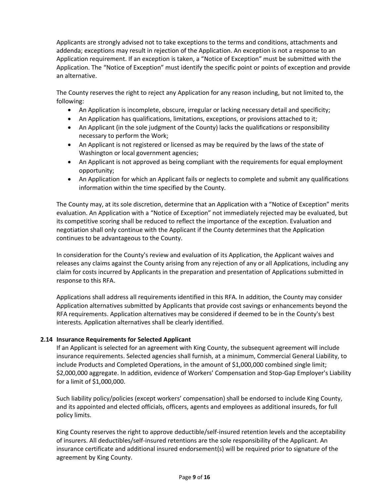Applicants are strongly advised not to take exceptions to the terms and conditions, attachments and addenda; exceptions may result in rejection of the Application. An exception is not a response to an Application requirement. If an exception is taken, a "Notice of Exception" must be submitted with the Application. The "Notice of Exception" must identify the specific point or points of exception and provide an alternative.

The County reserves the right to reject any Application for any reason including, but not limited to, the following:

- An Application is incomplete, obscure, irregular or lacking necessary detail and specificity;
- An Application has qualifications, limitations, exceptions, or provisions attached to it;
- An Applicant (in the sole judgment of the County) lacks the qualifications or responsibility necessary to perform the Work;
- An Applicant is not registered or licensed as may be required by the laws of the state of Washington or local government agencies;
- An Applicant is not approved as being compliant with the requirements for equal employment opportunity;
- An Application for which an Applicant fails or neglects to complete and submit any qualifications information within the time specified by the County.

The County may, at its sole discretion, determine that an Application with a "Notice of Exception" merits evaluation. An Application with a "Notice of Exception" not immediately rejected may be evaluated, but its competitive scoring shall be reduced to reflect the importance of the exception. Evaluation and negotiation shall only continue with the Applicant if the County determines that the Application continues to be advantageous to the County.

In consideration for the County's review and evaluation of its Application, the Applicant waives and releases any claims against the County arising from any rejection of any or all Applications, including any claim for costs incurred by Applicants in the preparation and presentation of Applications submitted in response to this RFA.

Applications shall address all requirements identified in this RFA. In addition, the County may consider Application alternatives submitted by Applicants that provide cost savings or enhancements beyond the RFA requirements. Application alternatives may be considered if deemed to be in the County's best interests. Application alternatives shall be clearly identified.

#### **2.14 Insurance Requirements for Selected Applicant**

If an Applicant is selected for an agreement with King County, the subsequent agreement will include insurance requirements. Selected agencies shall furnish, at a minimum, Commercial General Liability, to include Products and Completed Operations, in the amount of \$1,000,000 combined single limit; \$2,000,000 aggregate. In addition, evidence of Workers' Compensation and Stop-Gap Employer's Liability for a limit of \$1,000,000.

Such liability policy/policies (except workers' compensation) shall be endorsed to include King County, and its appointed and elected officials, officers, agents and employees as additional insureds, for full policy limits.

King County reserves the right to approve deductible/self-insured retention levels and the acceptability of insurers. All deductibles/self-insured retentions are the sole responsibility of the Applicant. An insurance certificate and additional insured endorsement(s) will be required prior to signature of the agreement by King County.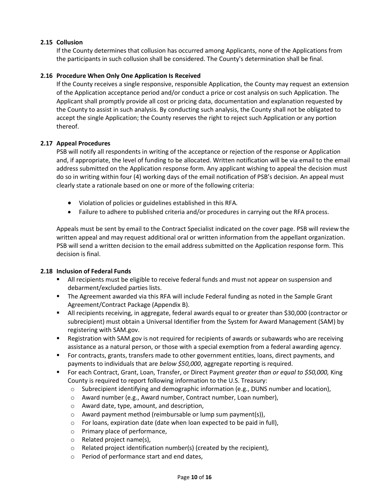# **2.15 Collusion**

If the County determines that collusion has occurred among Applicants, none of the Applications from the participants in such collusion shall be considered. The County's determination shall be final.

#### **2.16 Procedure When Only One Application Is Received**

If the County receives a single responsive, responsible Application, the County may request an extension of the Application acceptance period and/or conduct a price or cost analysis on such Application. The Applicant shall promptly provide all cost or pricing data, documentation and explanation requested by the County to assist in such analysis. By conducting such analysis, the County shall not be obligated to accept the single Application; the County reserves the right to reject such Application or any portion thereof.

#### **2.17 Appeal Procedures**

PSB will notify all respondents in writing of the acceptance or rejection of the response or Application and, if appropriate, the level of funding to be allocated. Written notification will be via email to the email address submitted on the Application response form. Any applicant wishing to appeal the decision must do so in writing within four (4) working days of the email notification of PSB's decision. An appeal must clearly state a rationale based on one or more of the following criteria:

- Violation of policies or guidelines established in this RFA.
- Failure to adhere to published criteria and/or procedures in carrying out the RFA process.

Appeals must be sent by email to the Contract Specialist indicated on the cover page. PSB will review the written appeal and may request additional oral or written information from the appellant organization. PSB will send a written decision to the email address submitted on the Application response form. This decision is final.

#### **2.18 Inclusion of Federal Funds**

- **EXECT All recipients must be eligible to receive federal funds and must not appear on suspension and** debarment/excluded parties lists.
- The Agreement awarded via this RFA will include Federal funding as noted in the Sample Grant Agreement/Contract Package (Appendix B).
- All recipients receiving, in aggregate, federal awards equal to or greater than \$30,000 (contractor or subrecipient) must obtain a Universal Identifier from the System for Award Management (SAM) by registering with SAM.gov.
- Registration with SAM.gov is not required for recipients of awards or subawards who are receiving assistance as a natural person, or those with a special exemption from a federal awarding agency.
- For contracts, grants, transfers made to other government entities, loans, direct payments, and payments to individuals that are *below \$50,000*, aggregate reporting is required.
- For each Contract, Grant, Loan, Transfer, or Direct Payment *greater than or equal to \$50,000,* King County is required to report following information to the U.S. Treasury:
	- $\circ$  Subrecipient identifying and demographic information (e.g., DUNS number and location),
	- o Award number (e.g., Award number, Contract number, Loan number),
	- o Award date, type, amount, and description,
	- o Award payment method (reimbursable or lump sum payment(s)),
	- o For loans, expiration date (date when loan expected to be paid in full),
	- o Primary place of performance,
	- o Related project name(s),
	- o Related project identification number(s) (created by the recipient),
	- o Period of performance start and end dates,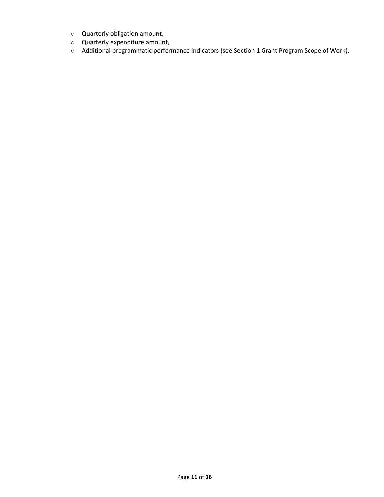- o Quarterly obligation amount,
- o Quarterly expenditure amount,
- o Additional programmatic performance indicators (see Section 1 Grant Program Scope of Work).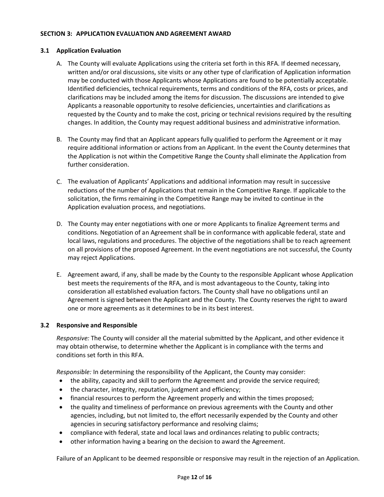#### **SECTION 3: APPLICATION EVALUATION AND AGREEMENT AWARD**

## **3.1 Application Evaluation**

- A. The County will evaluate Applications using the criteria set forth in this RFA. If deemed necessary, written and/or oral discussions, site visits or any other type of clarification of Application information may be conducted with those Applicants whose Applications are found to be potentially acceptable. Identified deficiencies, technical requirements, terms and conditions of the RFA, costs or prices, and clarifications may be included among the items for discussion. The discussions are intended to give Applicants a reasonable opportunity to resolve deficiencies, uncertainties and clarifications as requested by the County and to make the cost, pricing or technical revisions required by the resulting changes. In addition, the County may request additional business and administrative information.
- B. The County may find that an Applicant appears fully qualified to perform the Agreement or it may require additional information or actions from an Applicant. In the event the County determines that the Application is not within the Competitive Range the County shall eliminate the Application from further consideration.
- C. The evaluation of Applicants' Applications and additional information may result in successive reductions of the number of Applications that remain in the Competitive Range. If applicable to the solicitation, the firms remaining in the Competitive Range may be invited to continue in the Application evaluation process, and negotiations.
- D. The County may enter negotiations with one or more Applicants to finalize Agreement terms and conditions. Negotiation of an Agreement shall be in conformance with applicable federal, state and local laws, regulations and procedures. The objective of the negotiations shall be to reach agreement on all provisions of the proposed Agreement. In the event negotiations are not successful, the County may reject Applications.
- E. Agreement award, if any, shall be made by the County to the responsible Applicant whose Application best meets the requirements of the RFA, and is most advantageous to the County, taking into consideration all established evaluation factors. The County shall have no obligations until an Agreement is signed between the Applicant and the County. The County reserves the right to award one or more agreements as it determines to be in its best interest.

#### **3.2 Responsive and Responsible**

*Responsive:* The County will consider all the material submitted by the Applicant, and other evidence it may obtain otherwise, to determine whether the Applicant is in compliance with the terms and conditions set forth in this RFA.

*Responsible:* In determining the responsibility of the Applicant, the County may consider:

- the ability, capacity and skill to perform the Agreement and provide the service required;
- the character, integrity, reputation, judgment and efficiency;
- financial resources to perform the Agreement properly and within the times proposed;
- the quality and timeliness of performance on previous agreements with the County and other agencies, including, but not limited to, the effort necessarily expended by the County and other agencies in securing satisfactory performance and resolving claims;
- compliance with federal, state and local laws and ordinances relating to public contracts;
- other information having a bearing on the decision to award the Agreement.

Failure of an Applicant to be deemed responsible or responsive may result in the rejection of an Application.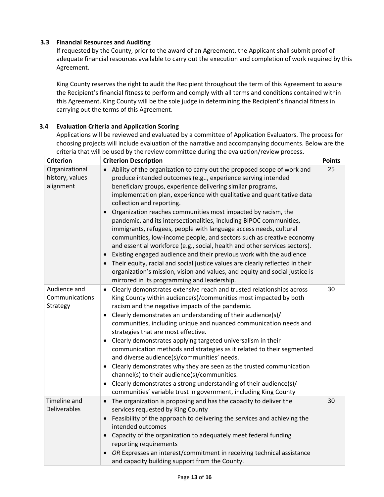# **3.3 Financial Resources and Auditing**

If requested by the County, prior to the award of an Agreement, the Applicant shall submit proof of adequate financial resources available to carry out the execution and completion of work required by this Agreement.

King County reserves the right to audit the Recipient throughout the term of this Agreement to assure the Recipient's financial fitness to perform and comply with all terms and conditions contained within this Agreement. King County will be the sole judge in determining the Recipient's financial fitness in carrying out the terms of this Agreement.

## **3.4 Evaluation Criteria and Application Scoring**

Applications will be reviewed and evaluated by a committee of Application Evaluators. The process for choosing projects will include evaluation of the narrative and accompanying documents. Below are the criteria that will be used by the review committee during the evaluation/review process**.** 

| <b>Criterion</b>                               | <b>Criterion Description</b>                                                                                                                                                                                                                                                                                                                                                                                                                                                                                                                                                                                                                                                                                                                                                                                                                                                                                                                                                       | <b>Points</b> |
|------------------------------------------------|------------------------------------------------------------------------------------------------------------------------------------------------------------------------------------------------------------------------------------------------------------------------------------------------------------------------------------------------------------------------------------------------------------------------------------------------------------------------------------------------------------------------------------------------------------------------------------------------------------------------------------------------------------------------------------------------------------------------------------------------------------------------------------------------------------------------------------------------------------------------------------------------------------------------------------------------------------------------------------|---------------|
| Organizational<br>history, values<br>alignment | Ability of the organization to carry out the proposed scope of work and<br>produce intended outcomes (e.g, experience serving intended<br>beneficiary groups, experience delivering similar programs,<br>implementation plan, experience with qualitative and quantitative data<br>collection and reporting.<br>Organization reaches communities most impacted by racism, the<br>$\bullet$<br>pandemic, and its intersectionalities, including BIPOC communities,<br>immigrants, refugees, people with language access needs, cultural<br>communities, low-income people, and sectors such as creative economy<br>and essential workforce (e.g., social, health and other services sectors).<br>Existing engaged audience and their previous work with the audience<br>Their equity, racial and social justice values are clearly reflected in their<br>organization's mission, vision and values, and equity and social justice is<br>mirrored in its programming and leadership. | 25            |
| Audience and<br>Communications<br>Strategy     | Clearly demonstrates extensive reach and trusted relationships across<br>$\bullet$<br>King County within audience(s)/communities most impacted by both<br>racism and the negative impacts of the pandemic.<br>Clearly demonstrates an understanding of their audience(s)/<br>$\bullet$<br>communities, including unique and nuanced communication needs and<br>strategies that are most effective.<br>Clearly demonstrates applying targeted universalism in their<br>communication methods and strategies as it related to their segmented<br>and diverse audience(s)/communities' needs.<br>Clearly demonstrates why they are seen as the trusted communication<br>channel(s) to their audience(s)/communities.<br>Clearly demonstrates a strong understanding of their audience(s)/<br>$\bullet$<br>communities' variable trust in government, including King County                                                                                                            | 30            |
| Timeline and<br>Deliverables                   | The organization is proposing and has the capacity to deliver the<br>$\bullet$<br>services requested by King County<br>Feasibility of the approach to delivering the services and achieving the<br>$\bullet$<br>intended outcomes<br>Capacity of the organization to adequately meet federal funding<br>reporting requirements<br>OR Expresses an interest/commitment in receiving technical assistance<br>and capacity building support from the County.                                                                                                                                                                                                                                                                                                                                                                                                                                                                                                                          | 30            |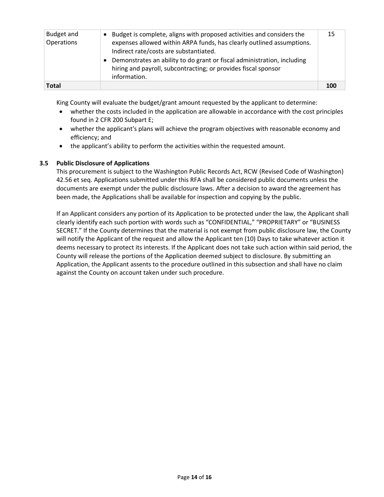| Budget and<br>Operations | Budget is complete, aligns with proposed activities and considers the<br>expenses allowed within ARPA funds, has clearly outlined assumptions.<br>Indirect rate/costs are substantiated.<br>Demonstrates an ability to do grant or fiscal administration, including<br>hiring and payroll, subcontracting; or provides fiscal sponsor<br>information. | 15  |
|--------------------------|-------------------------------------------------------------------------------------------------------------------------------------------------------------------------------------------------------------------------------------------------------------------------------------------------------------------------------------------------------|-----|
| <b>Total</b>             |                                                                                                                                                                                                                                                                                                                                                       | 100 |

King County will evaluate the budget/grant amount requested by the applicant to determine:

- whether the costs included in the application are allowable in accordance with the cost principles found in 2 CFR 200 Subpart E;
- whether the applicant's plans will achieve the program objectives with reasonable economy and efficiency; and
- the applicant's ability to perform the activities within the requested amount.

## **3.5 Public Disclosure of Applications**

This procurement is subject to the Washington Public Records Act, RCW (Revised Code of Washington) 42.56 et seq. Applications submitted under this RFA shall be considered public documents unless the documents are exempt under the public disclosure laws. After a decision to award the agreement has been made, the Applications shall be available for inspection and copying by the public.

If an Applicant considers any portion of its Application to be protected under the law, the Applicant shall clearly identify each such portion with words such as "CONFIDENTIAL," "PROPRIETARY" or "BUSINESS SECRET." If the County determines that the material is not exempt from public disclosure law, the County will notify the Applicant of the request and allow the Applicant ten (10) Days to take whatever action it deems necessary to protect its interests. If the Applicant does not take such action within said period, the County will release the portions of the Application deemed subject to disclosure. By submitting an Application, the Applicant assents to the procedure outlined in this subsection and shall have no claim against the County on account taken under such procedure.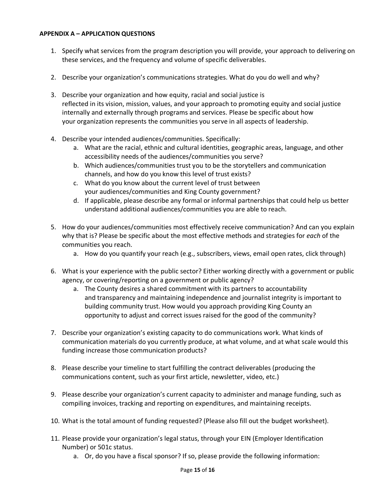## **APPENDIX A – APPLICATION QUESTIONS**

- 1. Specify what services from the program description you will provide, your approach to delivering on these services, and the frequency and volume of specific deliverables.
- 2. Describe your organization's communications strategies. What do you do well and why?
- 3. Describe your organization and how equity, racial and social justice is reflected in its vision, mission, values, and your approach to promoting equity and social justice internally and externally through programs and services. Please be specific about how your organization represents the communities you serve in all aspects of leadership.
- 4. Describe your intended audiences/communities. Specifically:
	- a. What are the racial, ethnic and cultural identities, geographic areas, language, and other accessibility needs of the audiences/communities you serve?
	- b. Which audiences/communities trust you to be the storytellers and communication channels, and how do you know this level of trust exists?
	- c. What do you know about the current level of trust between your audiences/communities and King County government?
	- d. If applicable, please describe any formal or informal partnerships that could help us better understand additional audiences/communities you are able to reach.
- 5. How do your audiences/communities most effectively receive communication? And can you explain why that is? Please be specific about the most effective methods and strategies for *each* of the communities you reach.
	- a. How do you quantify your reach (e.g., subscribers, views, email open rates, click through)
- 6. What is your experience with the public sector? Either working directly with a government or public agency, or covering/reporting on a government or public agency?
	- a. The County desires a shared commitment with its partners to accountability and transparency and maintaining independence and journalist integrity is important to building community trust. How would you approach providing King County an opportunity to adjust and correct issues raised for the good of the community?
- 7. Describe your organization's existing capacity to do communications work. What kinds of communication materials do you currently produce, at what volume, and at what scale would this funding increase those communication products?
- 8. Please describe your timeline to start fulfilling the contract deliverables (producing the communications content, such as your first article, newsletter, video, etc.)
- 9. Please describe your organization's current capacity to administer and manage funding, such as compiling invoices, tracking and reporting on expenditures, and maintaining receipts.
- 10. What is the total amount of funding requested? (Please also fill out the budget worksheet).
- 11. Please provide your organization's legal status, through your EIN (Employer Identification Number) or 501c status.
	- a. Or, do you have a fiscal sponsor? If so, please provide the following information: